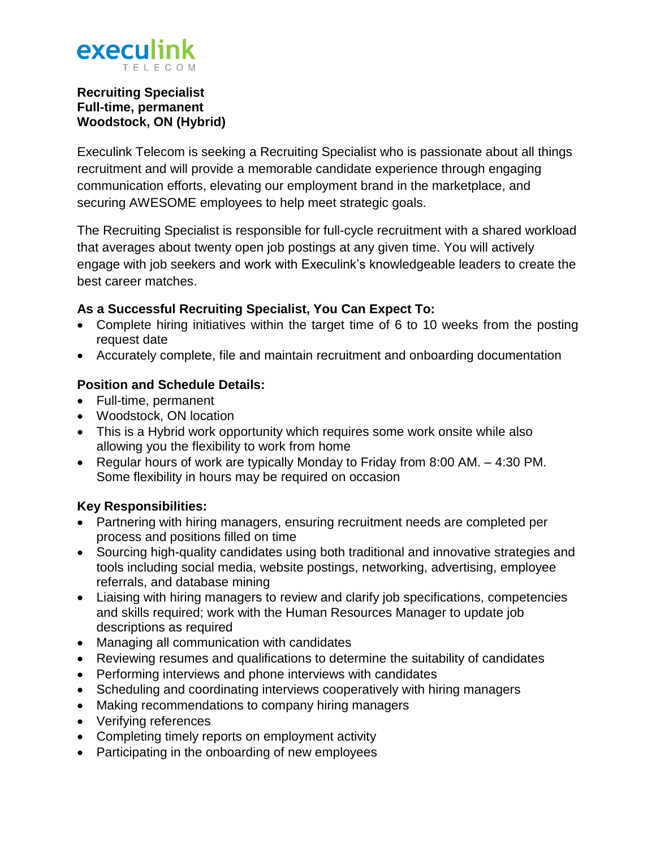

#### **Recruiting Specialist Full-time, permanent Woodstock, ON (Hybrid)**

Execulink Telecom is seeking a Recruiting Specialist who is passionate about all things recruitment and will provide a memorable candidate experience through engaging communication efforts, elevating our employment brand in the marketplace, and securing AWESOME employees to help meet strategic goals.

The Recruiting Specialist is responsible for full-cycle recruitment with a shared workload that averages about twenty open job postings at any given time. You will actively engage with job seekers and work with Execulink's knowledgeable leaders to create the best career matches.

# **As a Successful Recruiting Specialist, You Can Expect To:**

- Complete hiring initiatives within the target time of 6 to 10 weeks from the posting request date
- Accurately complete, file and maintain recruitment and onboarding documentation

#### **Position and Schedule Details:**

- Full-time, permanent
- Woodstock, ON location
- This is a Hybrid work opportunity which requires some work onsite while also allowing you the flexibility to work from home
- Regular hours of work are typically Monday to Friday from 8:00 AM. 4:30 PM. Some flexibility in hours may be required on occasion

# **Key Responsibilities:**

- Partnering with hiring managers, ensuring recruitment needs are completed per process and positions filled on time
- Sourcing high-quality candidates using both traditional and innovative strategies and tools including social media, website postings, networking, advertising, employee referrals, and database mining
- Liaising with hiring managers to review and clarify job specifications, competencies and skills required; work with the Human Resources Manager to update job descriptions as required
- Managing all communication with candidates
- Reviewing resumes and qualifications to determine the suitability of candidates
- Performing interviews and phone interviews with candidates
- Scheduling and coordinating interviews cooperatively with hiring managers
- Making recommendations to company hiring managers
- Verifying references
- Completing timely reports on employment activity
- Participating in the onboarding of new employees